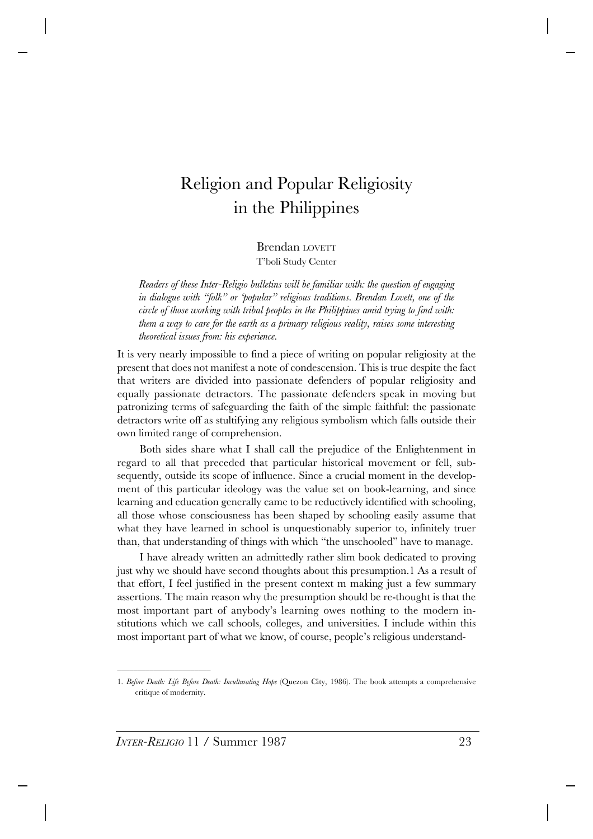# Religion and Popular Religiosity in the Philippines

#### Brendan LOVETT T'boli Study Center

*Readers of these Inter-Religio bulletins will be familiar with: the question of engaging in dialogue with "folk" or 'popular" religious traditions. Brendan Lovett, one of the circle of those working with tribal peoples in the Philippines amid trying to find with: them a way to care for the earth as a primary religious reality, raises some interesting theoretical issues from: his experience.*

It is very nearly impossible to find a piece of writing on popular religiosity at the present that does not manifest a note of condescension. This is true despite the fact that writers are divided into passionate defenders of popular religiosity and equally passionate detractors. The passionate defenders speak in moving but patronizing terms of safeguarding the faith of the simple faithful: the passionate detractors write off as stultifying any religious symbolism which falls outside their own limited range of comprehension.

Both sides share what I shall call the prejudice of the Enlightenment in regard to all that preceded that particular historical movement or fell, subsequently, outside its scope of influence. Since a crucial moment in the development of this particular ideology was the value set on book-learning, and since learning and education generally came to be reductively identified with schooling, all those whose consciousness has been shaped by schooling easily assume that what they have learned in school is unquestionably superior to, infinitely truer than, that understanding of things with which "the unschooled" have to manage.

I have already written an admittedly rather slim book dedicated to proving just why we should have second thoughts about this presumption.1 As a result of that effort, I feel justified in the present context m making just a few summary assertions. The main reason why the presumption should be re-thought is that the most important part of anybody's learning owes nothing to the modern institutions which we call schools, colleges, and universities. I include within this most important part of what we know, of course, people's religious understand-

\_\_\_\_\_\_\_\_\_\_\_\_\_\_\_\_\_\_\_\_\_\_\_

<sup>1.</sup> *Before Death: Life Before Death: Inculturating Hope* (Quezon City, 1986). The book attempts a comprehensive critique of modernity.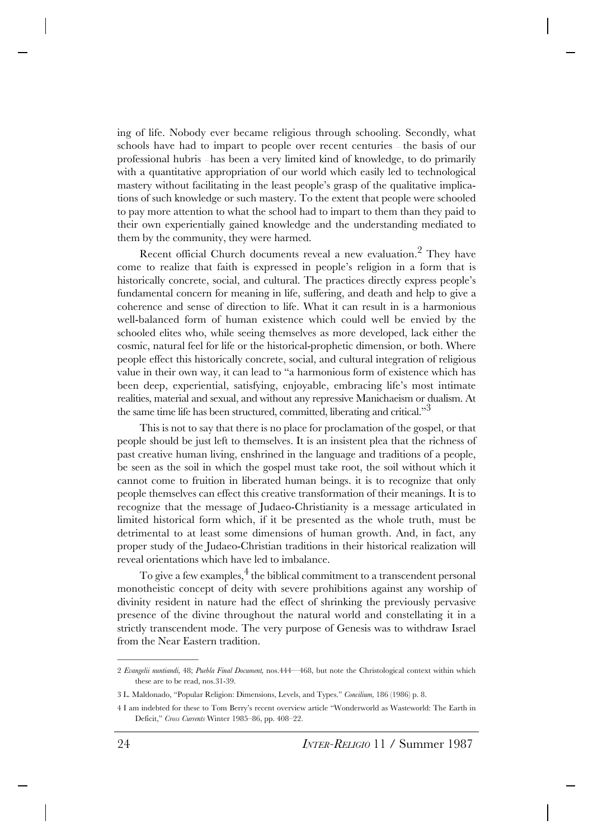ing of life. Nobody ever became religious through schooling. Secondly, what schools have had to impart to people over recent centuries — the basis of our professional hubris — has been a very limited kind of knowledge, to do primarily with a quantitative appropriation of our world which easily led to technological mastery without facilitating in the least people's grasp of the qualitative implications of such knowledge or such mastery. To the extent that people were schooled to pay more attention to what the school had to impart to them than they paid to their own experientially gained knowledge and the understanding mediated to them by the community, they were harmed.

Recent official Church documents reveal a new evaluation.2 They have come to realize that faith is expressed in people's religion in a form that is historically concrete, social, and cultural. The practices directly express people's fundamental concern for meaning in life, suffering, and death and help to give a coherence and sense of direction to life. What it can result in is a harmonious well-balanced form of human existence which could well be envied by the schooled elites who, while seeing themselves as more developed, lack either the cosmic, natural feel for life or the historical-prophetic dimension, or both. Where people effect this historically concrete, social, and cultural integration of religious value in their own way, it can lead to "a harmonious form of existence which has been deep, experiential, satisfying, enjoyable, embracing life's most intimate realities, material and sexual, and without any repressive Manichaeism or dualism. At the same time life has been structured, committed, liberating and critical."<sup>3</sup>

This is not to say that there is no place for proclamation of the gospel, or that people should be just left to themselves. It is an insistent plea that the richness of past creative human living, enshrined in the language and traditions of a people, be seen as the soil in which the gospel must take root, the soil without which it cannot come to fruition in liberated human beings. it is to recognize that only people themselves can effect this creative transformation of their meanings. It is to recognize that the message of Judaeo-Christianity is a message articulated in limited historical form which, if it be presented as the whole truth, must be detrimental to at least some dimensions of human growth. And, in fact, any proper study of the Judaeo-Christian traditions in their historical realization will reveal orientations which have led to imbalance.

To give a few examples, $4$  the biblical commitment to a transcendent personal monotheistic concept of deity with severe prohibitions against any worship of divinity resident in nature had the effect of shrinking the previously pervasive presence of the divine throughout the natural world and constellating it in a strictly transcendent mode. The very purpose of Genesis was to withdraw Israel from the Near Eastern tradition.

\_\_\_\_\_\_\_\_\_\_\_\_\_\_\_\_\_\_\_\_

<sup>2</sup> *Evangelii nuntiandi,* 48; *Puebla Final Document,* nos.444—468, but note the Christological context within which these are to be read, nos.31-39.

<sup>3</sup> L. Maldonado, "Popular Religion: Dimensions, Levels, and Types." *Concilium,* 186 (1986) p. 8.

<sup>4</sup> I am indebted for these to Tom Berry's recent overview article "Wonderworld as Wasteworld: The Earth in Deficit," *Cross Currents* Winter 1985–86, pp. 408–22.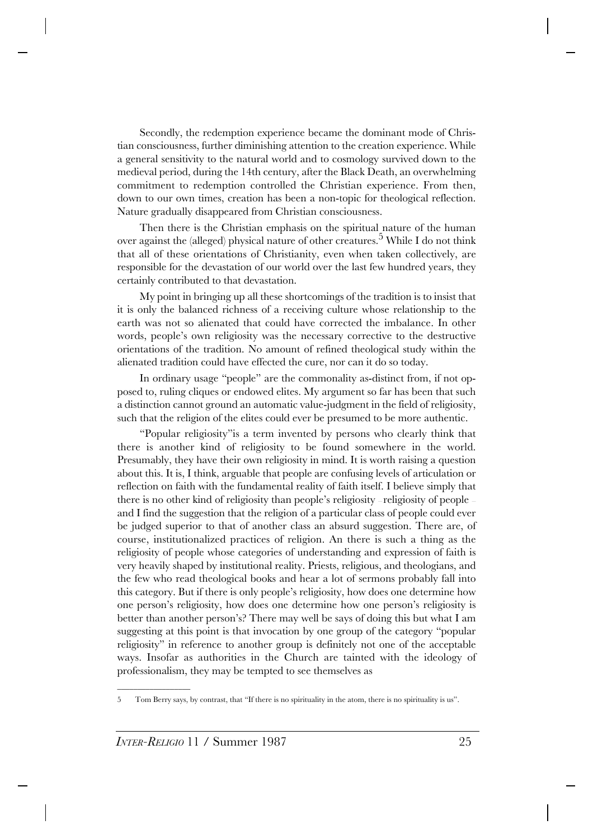Secondly, the redemption experience became the dominant mode of Christian consciousness, further diminishing attention to the creation experience. While a general sensitivity to the natural world and to cosmology survived down to the medieval period, during the 14th century, after the Black Death, an overwhelming commitment to redemption controlled the Christian experience. From then, down to our own times, creation has been a non-topic for theological reflection. Nature gradually disappeared from Christian consciousness.

Then there is the Christian emphasis on the spiritual nature of the human over against the (alleged) physical nature of other creatures.<sup>5</sup> While I do not think that all of these orientations of Christianity, even when taken collectively, are responsible for the devastation of our world over the last few hundred years, they certainly contributed to that devastation.

My point in bringing up all these shortcomings of the tradition is to insist that it is only the balanced richness of a receiving culture whose relationship to the earth was not so alienated that could have corrected the imbalance. In other words, people's own religiosity was the necessary corrective to the destructive orientations of the tradition. No amount of refined theological study within the alienated tradition could have effected the cure, nor can it do so today.

In ordinary usage "people" are the commonality as-distinct from, if not opposed to, ruling cliques or endowed elites. My argument so far has been that such a distinction cannot ground an automatic value-judgment in the field of religiosity, such that the religion of the elites could ever be presumed to be more authentic.

"Popular religiosity"is a term invented by persons who clearly think that there is another kind of religiosity to be found somewhere in the world. Presumably, they have their own religiosity in mind. It is worth raising a question about this. It is, I think, arguable that people are confusing levels of articulation or reflection on faith with the fundamental reality of faith itself. I believe simply that there is no other kind of religiosity than people's religiosity – religiosity of people and I find the suggestion that the religion of a particular class of people could ever be judged superior to that of another class an absurd suggestion. There are, of course, institutionalized practices of religion. An there is such a thing as the religiosity of people whose categories of understanding and expression of faith is very heavily shaped by institutional reality. Priests, religious, and theologians, and the few who read theological books and hear a lot of sermons probably fall into this category. But if there is only people's religiosity, how does one determine how one person's religiosity, how does one determine how one person's religiosity is better than another person's? There may well be says of doing this but what I am suggesting at this point is that invocation by one group of the category "popular religiosity" in reference to another group is definitely not one of the acceptable ways. Insofar as authorities in the Church are tainted with the ideology of professionalism, they may be tempted to see themselves as

\_\_\_\_\_\_\_\_\_\_\_\_\_\_\_\_\_\_

<sup>5</sup> Tom Berry says, by contrast, that "If there is no spirituality in the atom, there is no spirituality is us".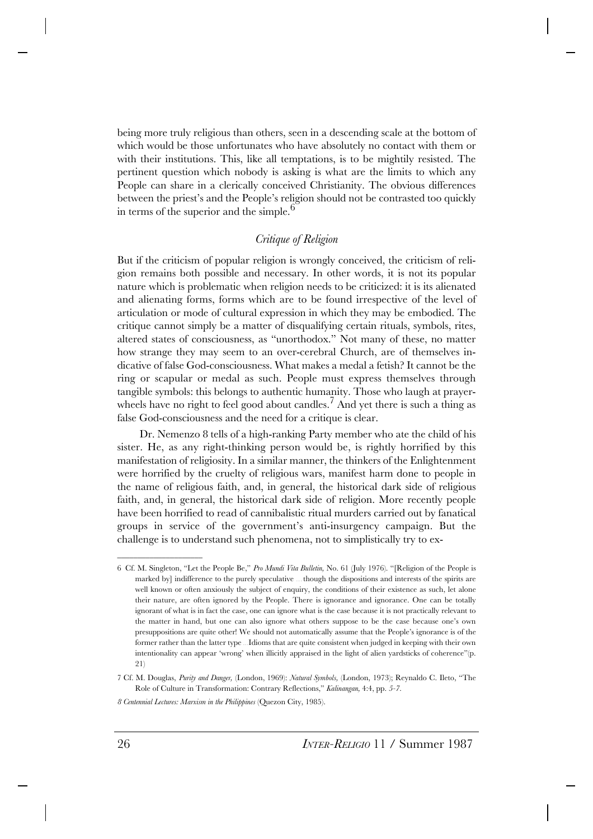being more truly religious than others, seen in a descending scale at the bottom of which would be those unfortunates who have absolutely no contact with them or with their institutions. This, like all temptations, is to be mightily resisted. The pertinent question which nobody is asking is what are the limits to which any People can share in a clerically conceived Christianity. The obvious differences between the priest's and the People's religion should not be contrasted too quickly in terms of the superior and the simple.<sup>6</sup>

## *Critique of Religion*

But if the criticism of popular religion is wrongly conceived, the criticism of religion remains both possible and necessary. In other words, it is not its popular nature which is problematic when religion needs to be criticized: it is its alienated and alienating forms, forms which are to be found irrespective of the level of articulation or mode of cultural expression in which they may be embodied. The critique cannot simply be a matter of disqualifying certain rituals, symbols, rites, altered states of consciousness, as "unorthodox." Not many of these, no matter how strange they may seem to an over-cerebral Church, are of themselves indicative of false God-consciousness. What makes a medal a fetish? It cannot be the ring or scapular or medal as such. People must express themselves through tangible symbols: this belongs to authentic humanity. Those who laugh at prayerwheels have no right to feel good about candles.<sup>7</sup> And yet there is such a thing as false God-consciousness and the need for a critique is clear.

Dr. Nemenzo 8 tells of a high-ranking Party member who ate the child of his sister. He, as any right-thinking person would be, is rightly horrified by this manifestation of religiosity. In a similar manner, the thinkers of the Enlightenment were horrified by the cruelty of religious wars, manifest harm done to people in the name of religious faith, and, in general, the historical dark side of religious faith, and, in general, the historical dark side of religion. More recently people have been horrified to read of cannibalistic ritual murders carried out by fanatical groups in service of the government's anti-insurgency campaign. But the challenge is to understand such phenomena, not to simplistically try to ex-

\_\_\_\_\_\_\_\_\_\_\_\_\_\_\_\_\_\_\_\_\_

<sup>6</sup> Cf. M. Singleton, "Let the People Be," *Pro Mundi Vita Bulletin,* No. 61 (July 1976). "[Religion of the People is marked by] indifference to the purely speculative ... though the dispositions and interests of the spirits are well known or often anxiously the subject of enquiry, the conditions of their existence as such, let alone their nature, are often ignored by the People. There is ignorance and ignorance. One can be totally ignorant of what is in fact the case, one can ignore what is the case because it is not practically relevant to the matter in hand, but one can also ignore what others suppose to be the case because one's own presuppositions are quite other! We should not automatically assume that the People's ignorance is of the former rather than the latter type ... Idioms that are quite consistent when judged in keeping with their own intentionality can appear 'wrong' when illicitly appraised in the light of alien yardsticks of coherence"(p. 21)

<sup>7</sup> Cf. M. Douglas, *Purity and Danger,* (London, 1969): *Natural Symbols,* (London, 1973); Reynaldo C. Ileto, "The Role of Culture in Transformation: Contrary Reflections," *Kalinangan,* 4:4, pp. *5-7.*

*<sup>8</sup> Centennial Lectures: Marxism in the Philippines* (Quezon City, 1985).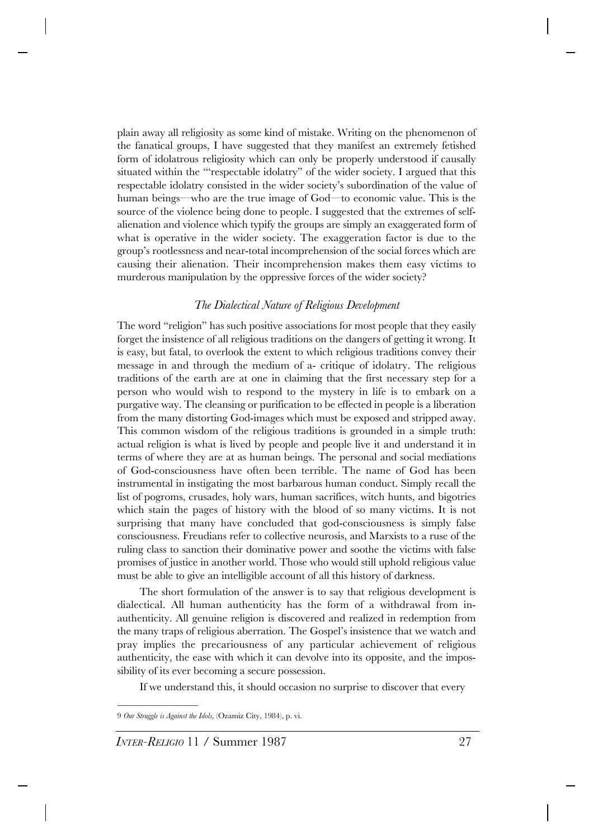plain away all religiosity as some kind of mistake. Writing on the phenomenon of the fanatical groups, I have suggested that they manifest an extremely fetished form of idolatrous religiosity which can only be properly understood if causally situated within the "'respectable idolatry" of the wider society. I argued that this respectable idolatry consisted in the wider society's subordination of the value of human beings—who are the true image of God—to economic value. This is the source of the violence being done to people. I suggested that the extremes of selfalienation and violence which typify the groups are simply an exaggerated form of what is operative in the wider society. The exaggeration factor is due to the group's rootlessness and near-total incomprehension of the social forces which are causing their alienation. Their incomprehension makes them easy victims to murderous manipulation by the oppressive forces of the wider society?

### *The Dialectical Nature of Religious Development*

The word "religion" has such positive associations for most people that they easily forget the insistence of all religious traditions on the dangers of getting it wrong. It is easy, but fatal, to overlook the extent to which religious traditions convey their message in and through the medium of a- critique of idolatry. The religious traditions of the earth are at one in claiming that the first necessary step for a person who would wish to respond to the mystery in life is to embark on a purgative way. The cleansing or purification to be effected in people is a liberation from the many distorting God-images which must be exposed and stripped away. This common wisdom of the religious traditions is grounded in a simple truth: actual religion is what is lived by people and people live it and understand it in terms of where they are at as human beings. The personal and social mediations of God-consciousness have often been terrible. The name of God has been instrumental in instigating the most barbarous human conduct. Simply recall the list of pogroms, crusades, holy wars, human sacrifices, witch hunts, and bigotries which stain the pages of history with the blood of so many victims. It is not surprising that many have concluded that god-consciousness is simply false consciousness. Freudians refer to collective neurosis, and Marxists to a ruse of the ruling class to sanction their dominative power and soothe the victims with false promises of justice in another world. Those who would still uphold religious value must be able to give an intelligible account of all this history of darkness.

The short formulation of the answer is to say that religious development is dialectical. All human authenticity has the form of a withdrawal from inauthenticity. All genuine religion is discovered and realized in redemption from the many traps of religious aberration. The Gospel's insistence that we watch and pray implies the precariousness of any particular achievement of religious authenticity, the ease with which it can devolve into its opposite, and the impossibility of its ever becoming a secure possession.

If we understand this, it should occasion no surprise to discover that every

\_\_\_\_\_\_\_\_\_\_\_\_\_\_\_\_\_\_\_\_

<sup>9</sup> *Our Struggle is Against the Idols,* (Ozamiz City, 1984), p. vi.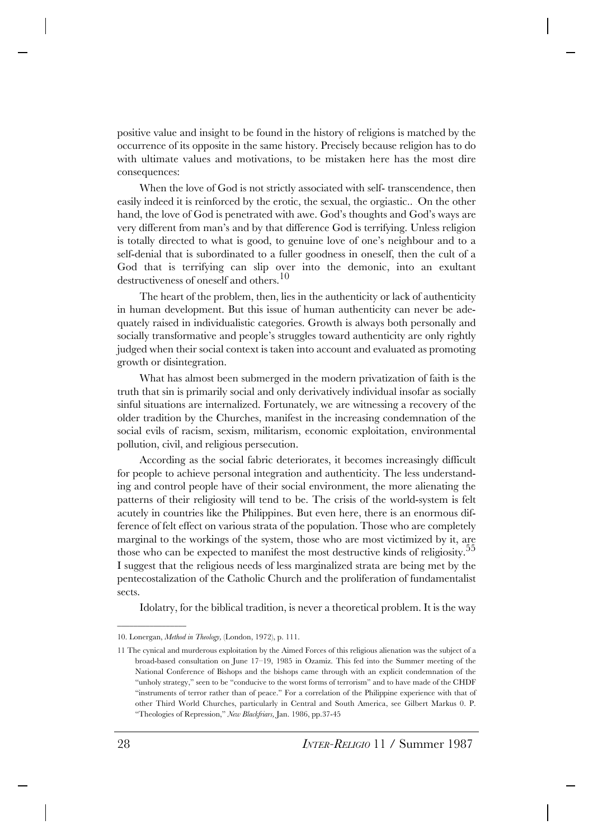positive value and insight to be found in the history of religions is matched by the occurrence of its opposite in the same history. Precisely because religion has to do with ultimate values and motivations, to be mistaken here has the most dire consequences:

When the love of God is not strictly associated with self- transcendence, then easily indeed it is reinforced by the erotic, the sexual, the orgiastic.. . On the other hand, the love of God is penetrated with awe. God's thoughts and God's ways are very different from man's and by that difference God is terrifying. Unless religion is totally directed to what is good, to genuine love of one's neighbour and to a self-denial that is subordinated to a fuller goodness in oneself, then the cult of a God that is terrifying can slip over into the demonic, into an exultant destructiveness of oneself and others.<sup>10</sup>

The heart of the problem, then, lies in the authenticity or lack of authenticity in human development. But this issue of human authenticity can never be adequately raised in individualistic categories. Growth is always both personally and socially transformative and people's struggles toward authenticity are only rightly judged when their social context is taken into account and evaluated as promoting growth or disintegration.

What has almost been submerged in the modern privatization of faith is the truth that sin is primarily social and only derivatively individual insofar as socially sinful situations are internalized. Fortunately, we are witnessing a recovery of the older tradition by the Churches, manifest in the increasing condemnation of the social evils of racism, sexism, militarism, economic exploitation, environmental pollution, civil, and religious persecution.

According as the social fabric deteriorates, it becomes increasingly difficult for people to achieve personal integration and authenticity. The less understanding and control people have of their social environment, the more alienating the patterns of their religiosity will tend to be. The crisis of the world-system is felt acutely in countries like the Philippines. But even here, there is an enormous difference of felt effect on various strata of the population. Those who are completely marginal to the workings of the system, those who are most victimized by it, are those who can be expected to manifest the most destructive kinds of religiosity.<sup>55</sup> I suggest that the religious needs of less marginalized strata are being met by the pentecostalization of the Catholic Church and the proliferation of fundamentalist sects.

Idolatry, for the biblical tradition, is never a theoretical problem. It is the way

 $\overline{\phantom{a}}$  , which is a set of the set of the set of the set of the set of the set of the set of the set of the set of the set of the set of the set of the set of the set of the set of the set of the set of the set of th

<sup>10.</sup> Lonergan, *Method in Theology,* (London, 1972), p. 111.

<sup>11</sup> The cynical and murderous exploitation by the Aimed Forces of this religious alienation was the subject of a broad-based consultation on June 17–19, 1985 in Ozamiz. This fed into the Summer meeting of the National Conference of Bishops and the bishops came through with an explicit condemnation of the "unholy strategy," seen to be "conducive to the worst forms of terrorism" and to have made of the CHDF "instruments of terror rather than of peace." For a correlation of the Philippine experience with that of other Third World Churches, particularly in Central and South America, see Gilbert Markus 0. P. "Theologies of Repression," *New Blackfriars,* Jan. 1986, pp.37-45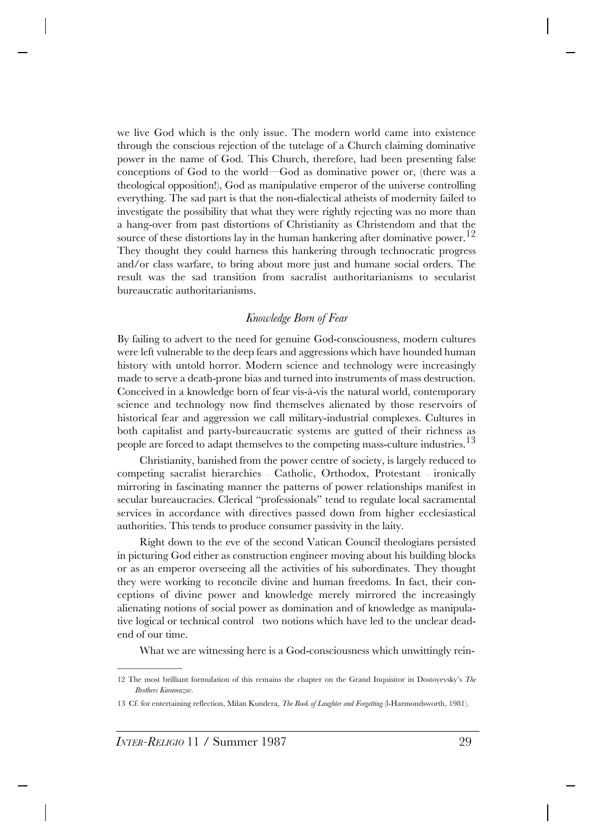we live God which is the only issue. The modern world came into existence through the conscious rejection of the tutelage of a Church claiming dominative power in the name of God. This Church, therefore, had been presenting false conceptions of God to the world—God as dominative power or, (there was a theological opposition!), God as manipulative emperor of the universe controlling everything. The sad part is that the non-dialectical atheists of modernity failed to investigate the possibility that what they were rightly rejecting was no more than a hang-over from past distortions of Christianity as Christendom and that the source of these distortions lay in the human hankering after dominative power.<sup>12</sup> They thought they could harness this hankering through technocratic progress and/or class warfare, to bring about more just and humane social orders. The result was the sad transition from sacralist authoritarianisms to secularist bureaucratic authoritarianisms.

## *Knowledge Born of Fear*

By failing to advert to the need for genuine God-consciousness, modern cultures were left vulnerable to the deep fears and aggressions which have hounded human history with untold horror. Modern science and technology were increasingly made to serve a death-prone bias and turned into instruments of mass destruction. Conceived in a knowledge born of fear vis-à-vis the natural world, contemporary science and technology now find themselves alienated by those reservoirs of historical fear and aggression we call military-industrial complexes. Cultures in both capitalist and party-bureaucratic systems are gutted of their richness as people are forced to adapt themselves to the competing mass-culture industries.<sup>13</sup>

Christianity, banished from the power centre of society, is largely reduced to competing sacralist hierarchies — Catholic, Orthodox, Protestant — ironically mirroring in fascinating manner the patterns of power relationships manifest in secular bureaucracies. Clerical "professionals" tend to regulate local sacramental services in accordance with directives passed down from higher ecclesiastical authorities. This tends to produce consumer passivity in the laity.

Right down to the eve of the second Vatican Council theologians persisted in picturing God either as construction engineer moving about his building blocks or as an emperor overseeing all the activities of his subordinates. They thought they were working to reconcile divine and human freedoms. In fact, their conceptions of divine power and knowledge merely mirrored the increasingly alienating notions of social power as domination and of knowledge as manipulative logical or technical control – two notions which have led to the unclear deadend of our time.

What we are witnessing here is a God-consciousness which unwittingly rein-

 $\overline{\phantom{a}}$  , which is a set of the set of the set of the set of the set of the set of the set of the set of the set of the set of the set of the set of the set of the set of the set of the set of the set of the set of th

<sup>12</sup> The most brilliant formulation of this remains the chapter on the Grand Inquisitor in Dostoyevsky's *The Brothers Karamazov.*

<sup>13</sup> Cf. for entertaining reflection, Milan Kundera, *The Book of Laughter and Forgetting* (l-Harmondsworth, 1981).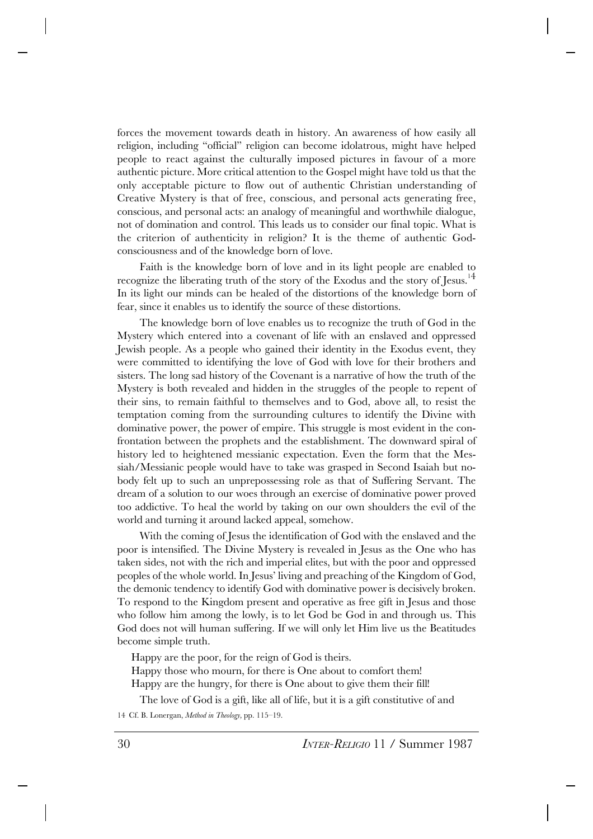forces the movement towards death in history. An awareness of how easily all religion, including "official" religion can become idolatrous, might have helped people to react against the culturally imposed pictures in favour of a more authentic picture. More critical attention to the Gospel might have told us that the only acceptable picture to flow out of authentic Christian understanding of Creative Mystery is that of free, conscious, and personal acts generating free, conscious, and personal acts: an analogy of meaningful and worthwhile dialogue, not of domination and control. This leads us to consider our final topic. What is the criterion of authenticity in religion? It is the theme of authentic Godconsciousness and of the knowledge born of love.

Faith is the knowledge born of love and in its light people are enabled to recognize the liberating truth of the story of the Exodus and the story of Jesus.<sup>1</sup><sup>4</sup> In its light our minds can be healed of the distortions of the knowledge born of fear, since it enables us to identify the source of these distortions.

The knowledge born of love enables us to recognize the truth of God in the Mystery which entered into a covenant of life with an enslaved and oppressed Jewish people. As a people who gained their identity in the Exodus event, they were committed to identifying the love of God with love for their brothers and sisters. The long sad history of the Covenant is a narrative of how the truth of the Mystery is both revealed and hidden in the struggles of the people to repent of their sins, to remain faithful to themselves and to God, above all, to resist the temptation coming from the surrounding cultures to identify the Divine with dominative power, the power of empire. This struggle is most evident in the confrontation between the prophets and the establishment. The downward spiral of history led to heightened messianic expectation. Even the form that the Messiah/Messianic people would have to take was grasped in Second Isaiah but nobody felt up to such an unprepossessing role as that of Suffering Servant. The dream of a solution to our woes through an exercise of dominative power proved too addictive. To heal the world by taking on our own shoulders the evil of the world and turning it around lacked appeal, somehow.

With the coming of Jesus the identification of God with the enslaved and the poor is intensified. The Divine Mystery is revealed in Jesus as the One who has taken sides, not with the rich and imperial elites, but with the poor and oppressed peoples of the whole world. In Jesus' living and preaching of the Kingdom of God, the demonic tendency to identify God with dominative power is decisively broken. To respond to the Kingdom present and operative as free gift in Jesus and those who follow him among the lowly, is to let God be God in and through us. This God does not will human suffering. If we will only let Him live us the Beatitudes become simple truth.

Happy are the poor, for the reign of God is theirs.

Happy those who mourn, for there is One about to comfort them! Happy are the hungry, for there is One about to give them their fill!

The love of God is a gift, like all of life, but it is a gift constitutive of and 14 Cf. B. Lonergan, *Method in Theology,* pp. 115–19.